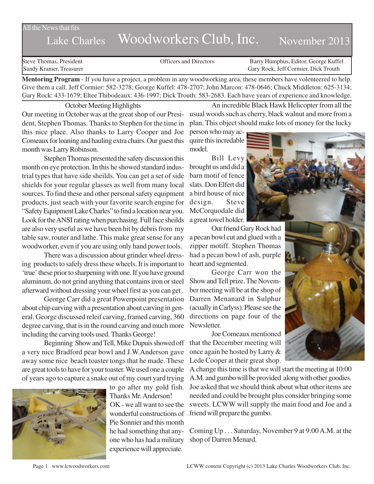## All the News that fits

## Lake Charles Woodworkers Club, Inc. November 2013

Steve Thomas, President Officers and Directors Barry Humphus, Editor, George Kuffel Sandy Kramer, Treasurer Gary Rock, Jeff Cormier, Dick Trouth

**Mentoring Program** - If you have a project, a problem in any woodworking area, these members have volenteered to help. Give them a call. Jeff Cormier: 582-3278; George Kuffel: 478-2707; John Marcon: 478-0646; Chuck Middleton: 625-3134; Gary Rock: 433-1679; Eltee Thibodeaux: 436-1997; Dick Trouth: 583-2683. Each have years of experience and knowledge.

October Meeting Highlights

Our meeting in October was at the great shop of our President, Stephen Thomas. Thanks to Stephen for the time in this nice place. Also thanks to Larry Cooper and Joe Comeaux for loaning and hauling extra chairs. Our guest this month was Larry Robinson.

Stephen Thomas presented the safety discussion this month on eye protection. In this he showed standard industrial types that have side sheilds. You can get a set of side shields for your regular glasses as well from many local sources. To find these and other personal safety equipment products, just seach with your favorite search engine for "Safety Equipment Lake Charles" to find a location near you. Look for the ANSI rating when purchasing. Full face sheilds are also very useful as we have been hit by debris from my table saw, router and lathe. This make great sense for any woodworker, even if you are using only hand power tools.

There was a discussion about grinder wheel dressing products to safely dress these wheels. It is important to 'true' these prior to sharpening with one. If you have ground aluminum, do not grind anything that contains iron or steel afterward without dressing your wheel first as you can get .

George Carr did a great Powerpoint presentation about chip carving with a presentation about carving in general. George discussed releif carving, framed carving, 360 degree carving, that is in the round carving and much more including the carving tools used. Thanks George!

Beginning Show and Tell, Mike Dupuis showed off a very nice Bradford pear bowl and J.W.Anderson gave away some nice beach toaster tongs that he made. These are great tools to have for your toaster. We used one a couple of years ago to capture a snake out of my court yard trying



to go after my gold fish. Thanks Mr. Anderson! OK - we all want to see the wonderful constructions of Pie Sonnier and this month he had something that anyone who has had a military experience will appreciate.

An incredible Black Hawk Helicopter from all the usual woods such as cherry, black walnut and more from a plan. This object should make lots of money for the lucky

person who may acquire this incredable model.

Bill Levy brought us and did a barn motif of fence slats. Don Elfert did a bird house of nice design. Steve McCorquodale did a great towel holder.

Our friend Gary Rock had a pecan bowl cut and glued with a zipper motiff. Stephen Thomas had a pecan bowl of ash, purple heart and segmented.

George Carr won the Show and Tell prize. The November meeting will be at the shop of Darren Menanard in Sulphur (acually in Carlyss). Please see the directions on page four of the Newsletter.

Joe Comeaux mentioned that the December meeting will once again be hosted by Larry & Lede Cooper at their great shop.

A change this time is that we will start the meeting at 10:00 A.M. and gumbo will be provided along with other goodies. Joe asked that we should think about what other items are needed and could be brought plus consider bringing some sweets. LCWW will supply the main food and Joe and a friend will prepare the gumbo.

Coming Up . . . Saturday, November 9 at 9:00 A.M. at the shop of Darren Menard.



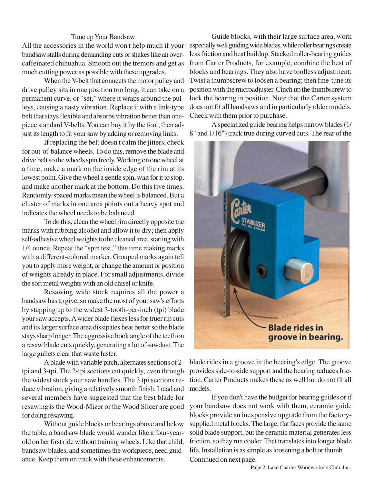## Tune up Your Bandsaw

All the accessories in the world won't help much if your bandsaw stalls during demanding cuts or shakes like an overcaffeinated chihuahua. Smooth out the tremors and get as much cutting power as possible with these upgrades.

When the V-belt that connects the motor pulley and drive pulley sits in one position too long, it can take on a permanent curve, or "set," where it wraps around the pulleys, causing a nasty vibration. Replace it with a link-type belt that stays flexible and absorbs vibration better than onepiece standard V-belts. You can buy it by the foot, then adjust its length to fit your saw by adding or removing links.

If replacing the belt doesn't calm the jitters, check for out-of-balance wheels. To do this, remove the blade and drive belt so the wheels spin freely. Working on one wheel at a time, make a mark on the inside edge of the rim at its lowest point. Give the wheel a gentle spin, wait for it to stop, and make another mark at the bottom. Do this five times. Randomly-spaced marks mean the wheel is balanced. But a cluster of marks in one area points out a heavy spot and indicates the wheel needs to be balanced.

To do this, clean the wheel rim directly opposite the marks with rubbing alcohol and allow it to dry; then apply self-adhesive wheel weights to the cleaned area, starting with 1/4 ounce. Repeat the "spin test," this time making marks with a different-colored marker. Grouped marks again tell you to apply more weight, or change the amount or position of weights already in place. For small adjustments, divide the soft metal weights with an old chisel or knife.

Resawing wide stock requires all the power a bandsaw has to give, so make the most of your saw's efforts by stepping up to the widest 3-tooth-per-inch (tpi) blade your saw accepts. A wider blade flexes less for truer rip cuts and its larger surface area dissipates heat better so the blade stays sharp longer. The aggressive hook angle of the teeth on a resaw blade cuts quickly, generating a lot of sawdust. The large gullets clear that waste faster.

A blade with variable pitch, alternates sections of 2 tpi and 3-tpi. The 2-tpi sections cut quickly, even through the widest stock your saw handles. The 3 tpi sections reduce vibration, giving a relatively smooth finish. I read and several members have suggested that the best blade for resawing is the Wood-Mizer or the Wood Slicer are good for doing resawing.

Without guide blocks or bearings above and below the table, a bandsaw blade would wander like a four-yearold on her first ride without training wheels. Like that child, bandsaw blades, and sometimes the workpiece, need guidance. Keep them on track with these enhancements.

Guide blocks, with their large surface area, work especially well guiding wide blades, while roller bearings create less friction and heat buildup. Stacked roller-bearing guides from Carter Products, for example, combine the best of blocks and bearings. They also have toolless adjustment: Twist a thumbscrew to loosen a bearing; then fine-tune its position with the microadjuster. Cinch up the thumbscrew to lock the bearing in position. Note that the Carter system does not fit all bandsaws and in particularly older models. Check with them prior to purchase.

A specialized guide bearing helps narrow blades (1/ 8" and 1/16") track true during curved cuts. The rear of the



blade rides in a groove in the bearing's edge. The groove provides side-to-side support and the bearing reduces friction. Carter Products makes these as well but do not fit all models.

If you don't have the budget for bearing guides or if your bandsaw does not work with them, ceramic guide blocks provide an inexpensive upgrade from the factorysupplied metal blocks. The large, flat faces provide the same solid blade support, but the ceramic material generates less friction, so they run cooler. That translates into longer blade life. Installation is as simple as loosening a bolt or thumb Continued on next page.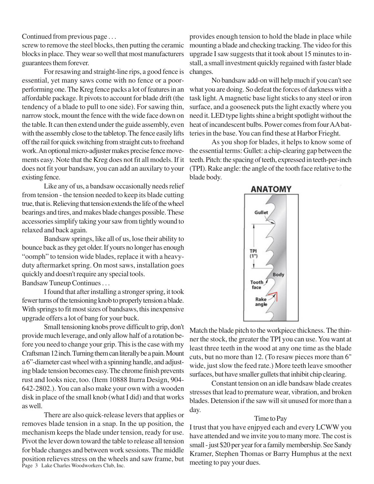Continued from previous page . . .

screw to remove the steel blocks, then putting the ceramic blocks in place. They wear so well that most manufacturers guarantees them forever.

For resawing and straight-line rips, a good fence is essential, yet many saws come with no fence or a poorperforming one. The Kreg fence packs a lot of features in an affordable package. It pivots to account for blade drift (the tendency of a blade to pull to one side). For sawing thin, narrow stock, mount the fence with the wide face down on the table. It can then extend under the guide assembly, even with the assembly close to the tabletop. The fence easily lifts off the rail for quick switching from straight cuts to freehand work. An optional micro-adjuster makes precise fence movements easy. Note that the Kreg does not fit all models. If it does not fit your bandsaw, you can add an auxilary to your existing fence.

Like any of us, a bandsaw occasionally needs relief from tension - the tension needed to keep its blade cutting true, that is. Relieving that tension extends the life of the wheel bearings and tires, and makes blade changes possible. These accessories simplify taking your saw from tightly wound to relaxed and back again.

Bandsaw springs, like all of us, lose their ability to bounce back as they get older. If yours no longer has enough "oomph" to tension wide blades, replace it with a heavyduty aftermarket spring. On most saws, installation goes quickly and doesn't require any special tools. Bandsaw Tuneup Continues . . .

I found that after installing a stronger spring, it took fewer turns of the tensioning knob to properly tension a blade. With springs to fit most sizes of bandsaws, this inexpensive upgrade offers a lot of bang for your buck.

Small tensioning knobs prove difficult to grip, don't provide much leverage, and only allow half of a rotation before you need to change your grip. This is the case with my Craftsman 12 inch. Turning them can literally be a pain. Mount a 6"-diameter cast wheel with a spinning handle, and adjusting blade tension becomes easy. The chrome finish prevents rust and looks nice, too. (Item 10888 Iturra Design, 904- 642-2802.). You can also make your own with a wooden disk in place of the small knob (what I did) and that works as well.

Page 3 Lake Charles Woodworkers Club, Inc. There are also quick-release levers that applies or removes blade tension in a snap. In the up position, the mechanism keeps the blade under tension, ready for use. Pivot the lever down toward the table to release all tension for blade changes and between work sessions. The middle position relieves stress on the wheels and saw frame, but

provides enough tension to hold the blade in place while mounting a blade and checking tracking. The video for this upgrade I saw suggests that it took about 15 minutes to install, a small investment quickly regained with faster blade changes.

No bandsaw add-on will help much if you can't see what you are doing. So defeat the forces of darkness with a task light. A magnetic base light sticks to any steel or iron surface, and a gooseneck puts the light exactly where you need it. LED type lights shine a bright spotlight without the heat of incandescent bulbs. Power comes from four AA batteries in the base. You can find these at Harbor Frieght.

As you shop for blades, it helps to know some of the essential terms: Gullet: a chip-clearing gap between the teeth. Pitch: the spacing of teeth, expressed in teeth-per-inch (TPI). Rake angle: the angle of the tooth face relative to the blade body.



Match the blade pitch to the workpiece thickness. The thinner the stock, the greater the TPI you can use. You want at least three teeth in the wood at any one time as the blade cuts, but no more than 12. (To resaw pieces more than 6" wide, just slow the feed rate.) More teeth leave smoother surfaces, but have smaller gullets that inhibit chip clearing.

Constant tension on an idle bandsaw blade creates stresses that lead to premature wear, vibration, and broken blades. Detension if the saw will sit unused for more than a day.

## Time to Pay

I trust that you have enjpyed each and every LCWW you have attended and we invite you to many more. The cost is small - just \$20 per year for a family membership. See Sandy Kramer, Stephen Thomas or Barry Humphus at the next meeting to pay your dues.